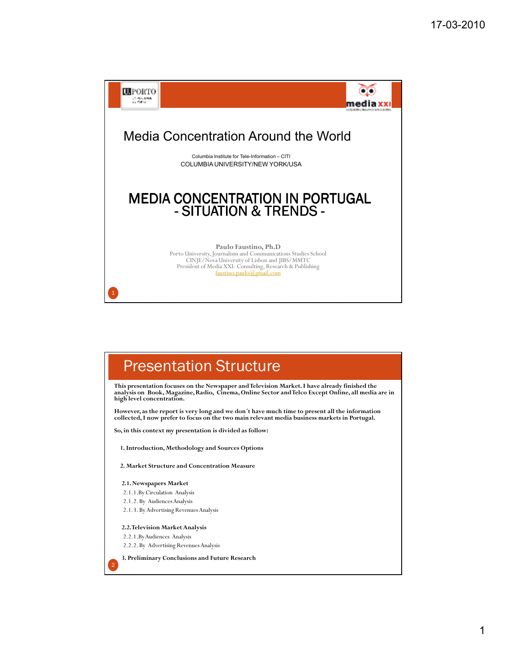

### Presentation Structure

**This presentation focuses on the Newspaper and Television Market. I have already finished the analysis on Book, Magazine, Radio, Cinema, Online Sector and Telco Except Online, all media are in high level concentration.**

**However, as the report is very long and we don´t have much time to present all the information collected, I now prefer to focus on the two main relevant media business markets in Portugal.** 

**So, in this context my presentation is divided as follow:**

**1. Introduction, Methodology and Sources Options**

**2. Market Structure and Concentration Measure** 

- **2.1. Newspapers Market**
- 2.1.1.By Circulation Analysis
- 2.1.2. By Audiences Analysis
- 2.1.3. By Advertising Revenues Analysis

**2.2. Television Market Analysis**

2.2.1.By Audiences Analysis

2

2.2.2. By Advertising Revenues Analysis

**3. Preliminary Conclusions and Future Research**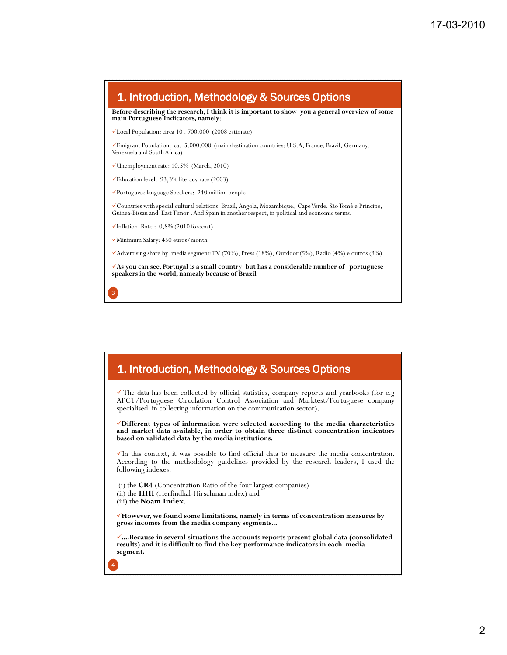

#### 1. Introduction, Methodology & Sources Options

The data has been collected by official statistics, company reports and yearbooks (for e.g. APCT/Portuguese Circulation Control Association and Marktest/Portuguese company specialised in collecting information on the communication sector).

**Different types of information were selected according to the media characteristics and market data available, in order to obtain three distinct concentration indicators based on validated data by the media institutions.**

 $\checkmark$  In this context, it was possible to find official data to measure the media concentration. According to the methodology guidelines provided by the research leaders, I used the following indexes:

(i) the **CR4** (Concentration Ratio of the four largest companies) (ii) the **HHI** (Herfindhal-Hirschman index) and (iii) the **Noam Index**.

4

**However, we found some limitations, namely in terms of concentration measures by gross incomes from the media company segments...**

**....Because in several situations the accounts reports present global data (consolidated results) and it is difficult to find the key performance indicators in each media segment.**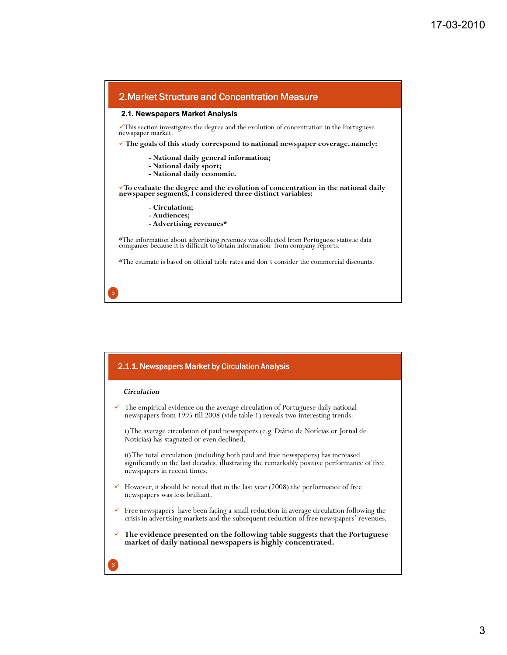

|   | 2.1.1. Newspapers Market by Circulation Analysis                                                                                                                                                                |
|---|-----------------------------------------------------------------------------------------------------------------------------------------------------------------------------------------------------------------|
|   | Circulation                                                                                                                                                                                                     |
|   | $\checkmark$ The empirical evidence on the average circulation of Portuguese daily national<br>newspapers from 1995 till 2008 (vide table 1) reveals two interesting trends:                                    |
|   | i) The average circulation of paid newspapers (e.g. Diário de Notícias or Jornal de<br>Notícias) has stagnated or even declined.                                                                                |
|   | ii) The total circulation (including both paid and free newspapers) has increased<br>significantly in the last decades, illustrating the remarkably positive performance of free<br>newspapers in recent times. |
|   | $\checkmark$ However, it should be noted that in the last year (2008) the performance of free<br>newspapers was less brilliant.                                                                                 |
|   | $\checkmark$ Free newspapers have been facing a small reduction in average circulation following the<br>crisis in advertising markets and the subsequent reduction of free newspapers' revenues.                |
|   | $\checkmark$ The evidence presented on the following table suggests that the Portuguese<br>market of daily national newspapers is highly concentrated.                                                          |
| 6 |                                                                                                                                                                                                                 |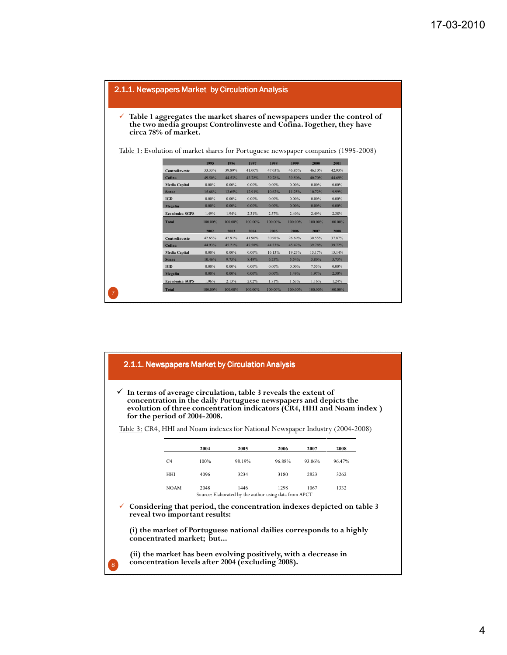

|              | 2.1.1. Newspapers Market by Circulation Analysis<br>$\checkmark$ In terms of average circulation, table 3 reveals the extent of<br>concentration in the daily Portuguese newspapers and depicts the          |      |                                                       |        |        |        |  |
|--------------|--------------------------------------------------------------------------------------------------------------------------------------------------------------------------------------------------------------|------|-------------------------------------------------------|--------|--------|--------|--|
|              | evolution of three concentration indicators (CR4, HHI and Noam index)<br>for the period of 2004-2008.                                                                                                        |      |                                                       |        |        |        |  |
|              | <u>Table 3:</u> CR4, HHI and Noam indexes for National Newspaper Industry (2004-2008)                                                                                                                        |      |                                                       |        |        |        |  |
|              |                                                                                                                                                                                                              | 2004 | 2005                                                  | 2006   | 2007   | 2008   |  |
|              | C <sub>4</sub>                                                                                                                                                                                               | 100% | 98.19%                                                | 96.88% | 93.06% | 96.47% |  |
|              | HHI                                                                                                                                                                                                          | 4096 | 3234                                                  | 3180   | 2823   | 3262   |  |
|              | <b>NOAM</b>                                                                                                                                                                                                  | 2048 | 1446                                                  | 1298   | 1067   | 1332   |  |
|              | Considering that period, the concentration indexes depicted on table 3<br>reveal two important results:<br>(i) the market of Portuguese national dailies corresponds to a highly<br>concentrated market; but |      | Source: Elaborated by the author using data from APCT |        |        |        |  |
| $\mathbf{R}$ | (ii) the market has been evolving positively, with a decrease in<br>concentration levels after 2004 (excluding 2008).                                                                                        |      |                                                       |        |        |        |  |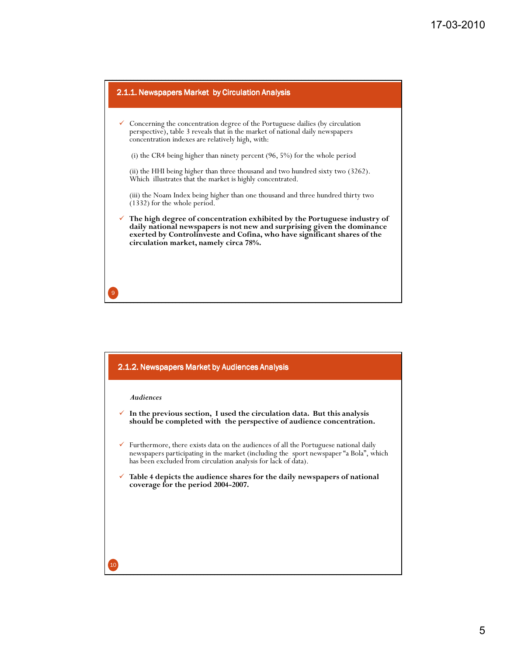

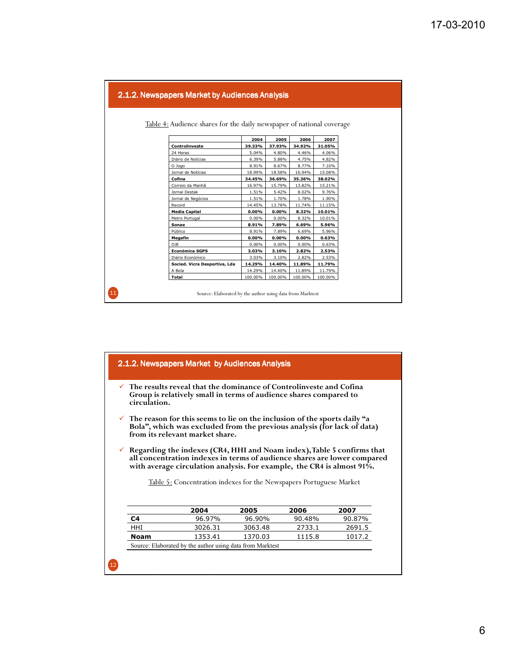| Table 4: Audience shares for the daily newspaper of national coverage |          |          |          |         |
|-----------------------------------------------------------------------|----------|----------|----------|---------|
|                                                                       |          |          |          |         |
|                                                                       | 2004     | 2005     | 2006     | 2007    |
| Controlinveste                                                        | 39.33%   | 37.93%   | 34.92%   | 31.05%  |
| 24 Horas                                                              | 5.04%    | 4.80%    | 4.46%    | 4.06%   |
| Diário de Notícias                                                    | 6.39%    | 5.88%    | 4.75%    | 4.82%   |
| O Jogo                                                                | 8.91%    | 8.67%    | 8.77%    | 7.10%   |
| Jornal de Notícias                                                    | 18.99%   | 18.58%   | 16.94%   | 15.08%  |
| Cofina                                                                | 34.45%   | 36.69%   | 35.36%   | 38.02%  |
| Correio da Manhã                                                      | 16.97%   | 15.79%   | 13.82%   | 15.21%  |
| Jornal Destak                                                         | 1.51%    | 5.42%    | 8.02%    | 9.76%   |
| Jornal de Negócios                                                    | 1.51%    | 1.70%    | 1.78%    | 1.90%   |
| Record                                                                | 14.45%   | 13.78%   | 11.74%   | 11.15%  |
| <b>Media Capital</b>                                                  | $0.00\%$ | $0.00\%$ | 8.32%    | 10.01%  |
| Metro Portugal                                                        | 0.00%    | 0.00%    | 8.32%    | 10.01%  |
| Sonae                                                                 | 8.91%    | 7.89%    | 6.69%    | 5.96%   |
| Público                                                               | 8.91%    | 7.89%    | 6.69%    | 5.96%   |
| Megafin                                                               | $0.00\%$ | 0.00%    | $0.00\%$ | 0.63%   |
| OJE                                                                   | 0.00%    | 0.00%    | 0.00%    | 0.63%   |
| <b>Económica SGPS</b>                                                 | 3.03%    | 3.10%    | 2.82%    | 2.53%   |
| Diário Económico                                                      | 3.03%    | 3.10%    | 2.82%    | 2.53%   |
| Socied. Vicra Desportiva, Lda                                         | 14.29%   | 14.40%   | 11.89%   | 11.79%  |
| A Bola                                                                | 14.29%   | 14.40%   | 11.89%   | 11.79%  |
| <b>Total</b>                                                          | 100.00%  | 100.00%  | 100.00%  | 100.00% |

| 2.1.2. Newspapers Market by Audiences Analysis |  |
|------------------------------------------------|--|
|------------------------------------------------|--|

- **The results reveal that the dominance of Controlinveste and Cofina Group is relatively small in terms of audience shares compared to circulation.**
- **The reason for this seems to lie on the inclusion of the sports daily "a Bola", which was excluded from the previous analysis (for lack of data) from its relevant market share.**
- **Regarding the indexes (CR4, HHI and Noam index), Table 5 confirms that all concentration indexes in terms of audience shares are lower compared with average circulation analysis. For example, the CR4 is almost 91%.**

Table 5: Concentration indexes for the Newspapers Portuguese Market

|                                                           | 2004    | 2005    | 2006   | 2007   |  |  |  |  |
|-----------------------------------------------------------|---------|---------|--------|--------|--|--|--|--|
| C <sub>4</sub>                                            | 96.97%  | 96.90%  | 90.48% | 90.87% |  |  |  |  |
| HHI                                                       | 3026.31 | 3063.48 | 2733.1 | 2691.5 |  |  |  |  |
| 1370.03<br>1115.8<br>1017.2<br>1353.41<br>Noam            |         |         |        |        |  |  |  |  |
| Source: Elaborated by the author using data from Marktest |         |         |        |        |  |  |  |  |

12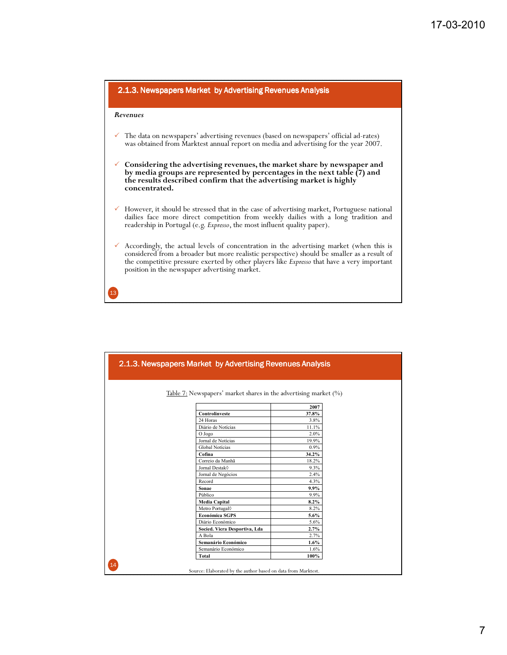

| 2.1.3. Newspapers Market by Advertising Revenues Analysis        |         |
|------------------------------------------------------------------|---------|
| Table 7: Newspapers' market shares in the advertising market (%) |         |
|                                                                  | 2007    |
| Controlinveste                                                   | 37.8%   |
| 24 Horas                                                         | 3.8%    |
| Diário de Notícias                                               | 11.1%   |
| O Jogo                                                           | 2.0%    |
| Jornal de Notícias                                               | 19.9%   |
| Global Notícias                                                  | 0.9%    |
| Cofina                                                           | 34.2%   |
| Correio da Manhã                                                 | 18.2%   |
| Jornal Destak <sup>0</sup>                                       | 9.3%    |
| Jornal de Negócios                                               | 2.4%    |
| Record                                                           | 4.3%    |
| Sonae                                                            | 9.9%    |
| Público                                                          | 9.9%    |
| <b>Media Capital</b>                                             | $8.2\%$ |
| Metro Portugal <sup>()</sup>                                     | 8.2%    |
| Económica SGPS                                                   | 5.6%    |
| Diário Económico                                                 | 5.6%    |
| Socied. Vicra Desportiva, Lda                                    | 2.7%    |
| A Bola                                                           | 2.7%    |
| Semanário Económico                                              | $1.6\%$ |
| Semanário Económico                                              | 1.6%    |
| <b>Total</b>                                                     | 100%    |
| Source: Elaborated by the author based on data from Marktest.    |         |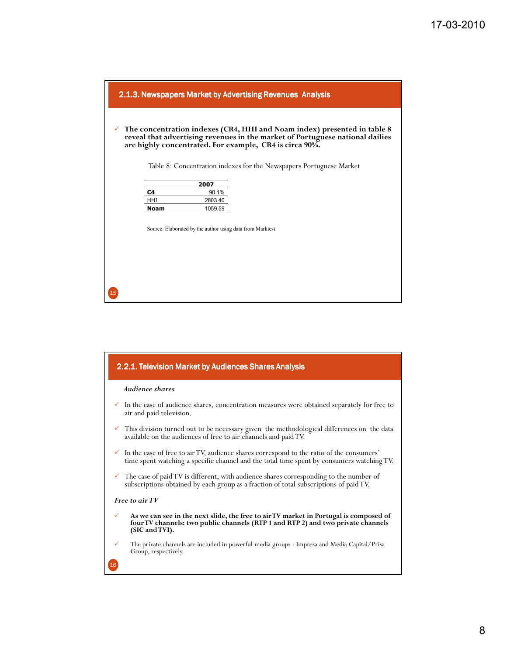

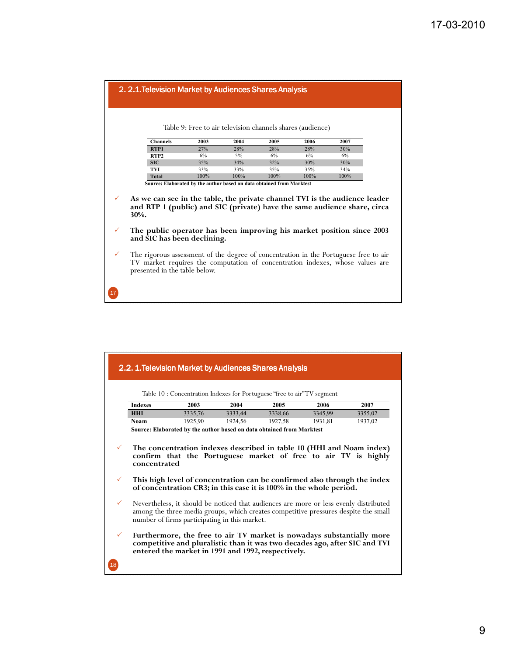|                              | 2. 2.1. Television Market by Audiences Shares Analysis                                                                                                                                                                                                                                                                                                                                                                                                                                                                   |                                                            |      |      |      |      |  |  |
|------------------------------|--------------------------------------------------------------------------------------------------------------------------------------------------------------------------------------------------------------------------------------------------------------------------------------------------------------------------------------------------------------------------------------------------------------------------------------------------------------------------------------------------------------------------|------------------------------------------------------------|------|------|------|------|--|--|
|                              |                                                                                                                                                                                                                                                                                                                                                                                                                                                                                                                          | Table 9: Free to air television channels shares (audience) |      |      |      |      |  |  |
|                              | <b>Channels</b>                                                                                                                                                                                                                                                                                                                                                                                                                                                                                                          | 2003                                                       | 2004 | 2005 | 2006 | 2007 |  |  |
|                              | RTP1                                                                                                                                                                                                                                                                                                                                                                                                                                                                                                                     | 27%                                                        | 28%  | 28%  | 28%  | 30%  |  |  |
|                              | RTP <sub>2</sub>                                                                                                                                                                                                                                                                                                                                                                                                                                                                                                         | 6%                                                         | 5%   | 6%   | 6%   | 6%   |  |  |
|                              | <b>SIC</b>                                                                                                                                                                                                                                                                                                                                                                                                                                                                                                               | 35%                                                        | 34%  | 32%  | 30%  | 30%  |  |  |
|                              | TVI                                                                                                                                                                                                                                                                                                                                                                                                                                                                                                                      | 33%                                                        | 33%  | 35%  | 35%  | 34%  |  |  |
|                              | <b>Total</b>                                                                                                                                                                                                                                                                                                                                                                                                                                                                                                             | 100%                                                       | 100% | 100% | 100% | 100% |  |  |
| $\checkmark$<br>$\checkmark$ | Source: Elaborated by the author based on data obtained from Marktest<br>As we can see in the table, the private channel TVI is the audience leader<br>and RTP 1 (public) and SIC (private) have the same audience share, circa<br>30%.<br>The public operator has been improving his market position since 2003<br>and SIC has been declining.<br>The rigorous assessment of the degree of concentration in the Portuguese free to air<br>TV market requires the computation of concentration indexes, whose values are |                                                            |      |      |      |      |  |  |
|                              | presented in the table below.                                                                                                                                                                                                                                                                                                                                                                                                                                                                                            |                                                            |      |      |      |      |  |  |

|              |                                                                                                                                                        | 2.2. 1. Television Market by Audiences Shares Analysis                                                                                                                                                                        |         |         |         |         |  |  |
|--------------|--------------------------------------------------------------------------------------------------------------------------------------------------------|-------------------------------------------------------------------------------------------------------------------------------------------------------------------------------------------------------------------------------|---------|---------|---------|---------|--|--|
|              |                                                                                                                                                        | Table 10 : Concentration Indexes for Portuguese "free to air" TV segment                                                                                                                                                      |         |         |         |         |  |  |
|              | <b>Indexes</b>                                                                                                                                         | 2003                                                                                                                                                                                                                          | 2004    | 2005    | 2006    | 2007    |  |  |
|              | <b>HHI</b>                                                                                                                                             | 3335,76                                                                                                                                                                                                                       | 3333,44 | 3338,66 | 3345,99 | 3355,02 |  |  |
|              | <b>Noam</b>                                                                                                                                            | 1925,90                                                                                                                                                                                                                       | 1924,56 | 1927,58 | 1931,81 | 1937,02 |  |  |
|              |                                                                                                                                                        | Source: Elaborated by the author based on data obtained from Marktest                                                                                                                                                         |         |         |         |         |  |  |
|              | The concentration indexes described in table 10 (HHI and Noam index)<br>confirm that the Portuguese market of free to air TV is highly<br>concentrated |                                                                                                                                                                                                                               |         |         |         |         |  |  |
|              | This high level of concentration can be confirmed also through the index<br>of concentration CR3; in this case it is 100% in the whole period.         |                                                                                                                                                                                                                               |         |         |         |         |  |  |
| $\checkmark$ |                                                                                                                                                        | Nevertheless, it should be noticed that audiences are more or less evenly distributed<br>among the three media groups, which creates competitive pressures despite the small<br>number of firms participating in this market. |         |         |         |         |  |  |
| $\checkmark$ |                                                                                                                                                        | Furthermore, the free to air TV market is nowadays substantially more<br>competitive and pluralistic than it was two decades ago, after SIC and TVI<br>entered the market in 1991 and 1992, respectively.                     |         |         |         |         |  |  |
| 18           |                                                                                                                                                        |                                                                                                                                                                                                                               |         |         |         |         |  |  |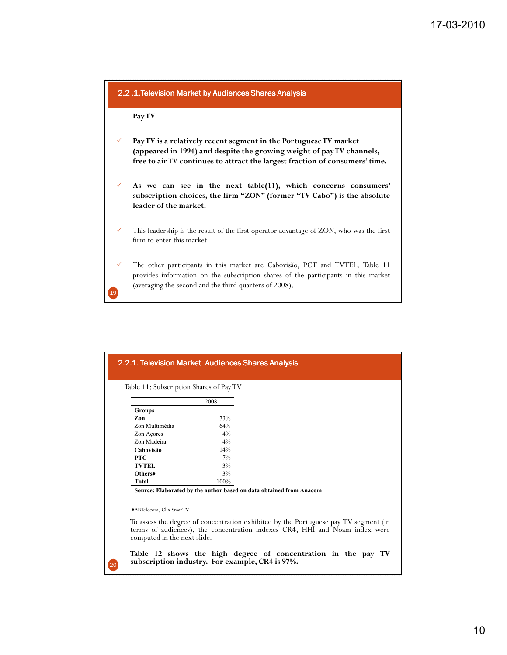

|                                                                                                                                                                                                                                                                                                      | 2008 |  |  |
|------------------------------------------------------------------------------------------------------------------------------------------------------------------------------------------------------------------------------------------------------------------------------------------------------|------|--|--|
| <b>Groups</b>                                                                                                                                                                                                                                                                                        |      |  |  |
| Zon                                                                                                                                                                                                                                                                                                  | 73%  |  |  |
| Zon Multimédia                                                                                                                                                                                                                                                                                       | 64%  |  |  |
| Zon Açores                                                                                                                                                                                                                                                                                           | 4%   |  |  |
| Zon Madeira                                                                                                                                                                                                                                                                                          | 4%   |  |  |
| Cabovisão                                                                                                                                                                                                                                                                                            | 14%  |  |  |
| <b>PTC</b>                                                                                                                                                                                                                                                                                           | 7%   |  |  |
| <b>TVTEL</b>                                                                                                                                                                                                                                                                                         | 3%   |  |  |
| Others <sup>+</sup>                                                                                                                                                                                                                                                                                  | 3%   |  |  |
| Total                                                                                                                                                                                                                                                                                                | 100% |  |  |
| Source: Elaborated by the author based on data obtained from Anacom<br>◆ARTelecom, Clix SmarTV<br>To assess the degree of concentration exhibited by the Portuguese pay TV segment (in<br>terms of audiences), the concentration indexes CR4, HHI and Noam index were<br>computed in the next slide. |      |  |  |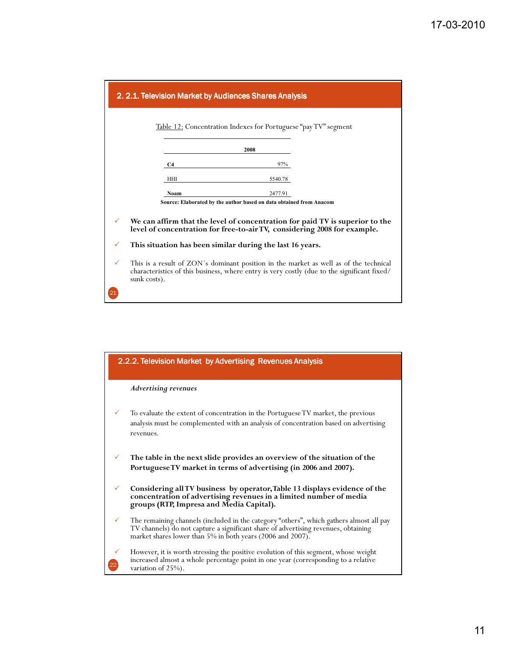

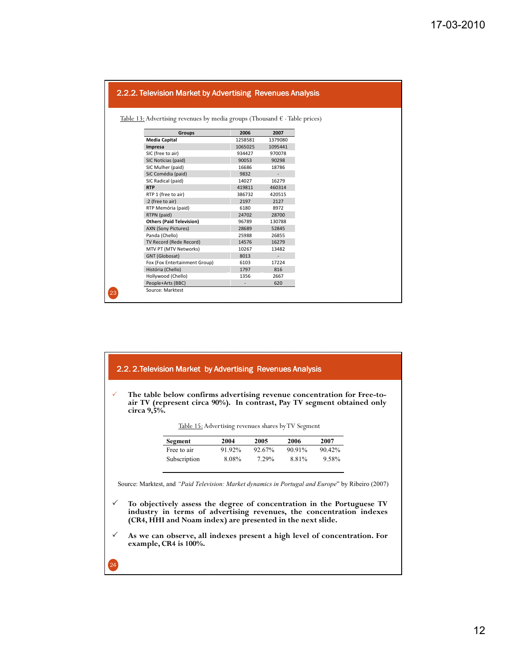| Table 13: Advertising revenues by media groups (Thousand $\epsilon$ - Table prices) |         |                          |  |
|-------------------------------------------------------------------------------------|---------|--------------------------|--|
|                                                                                     |         |                          |  |
| <b>Groups</b>                                                                       | 2006    | 2007                     |  |
| <b>Media Capital</b>                                                                | 1258581 | 1379080                  |  |
| Impresa                                                                             | 1065025 | 1095441                  |  |
| SIC (free to air)                                                                   | 934427  | 970078                   |  |
| SIC Notícias (paid)                                                                 | 90053   | 90298                    |  |
| SIC Mulher (paid)                                                                   | 16686   | 18786                    |  |
| SiC Comédia (paid)                                                                  | 9832    | $\sim$                   |  |
| SIC Radical (paid)                                                                  | 14027   | 16279                    |  |
| <b>RTP</b>                                                                          | 419811  | 460314                   |  |
| RTP 1 (free to air)                                                                 | 386732  | 420515                   |  |
| :2 (free to air)                                                                    | 2197    | 2127                     |  |
| RTP Memória (paid)                                                                  | 6180    | 8972                     |  |
| RTPN (paid)                                                                         | 24702   | 28700                    |  |
| <b>Others (Paid Television)</b>                                                     | 96789   | 130788                   |  |
| <b>AXN (Sony Pictures)</b>                                                          | 28689   | 52845                    |  |
| Panda (Chello)                                                                      | 25988   | 26855                    |  |
| TV Record (Rede Record)                                                             | 14576   | 16279                    |  |
| MTV PT (MTV Networks)                                                               | 10267   | 13482                    |  |
| GNT (Globosat)                                                                      | 8013    | $\overline{\phantom{a}}$ |  |
| Fox (Fox Entertainment Group)                                                       | 6103    | 17224                    |  |
| História (Chello)                                                                   | 1797    | 816                      |  |
| Hollywood (Chello)                                                                  | 1356    | 2667                     |  |
| People+Arts (BBC)                                                                   |         | 620                      |  |

#### 2.2. 2.Television Market by Advertising Revenues Analysis

**The table below confirms advertising revenue concentration for Free-toair TV (represent circa 90%). In contrast, Pay TV segment obtained only circa 9,5%.**

| Table 15: Advertising revenues shares by TV Segment |  |  |  |  |
|-----------------------------------------------------|--|--|--|--|
|-----------------------------------------------------|--|--|--|--|

| Segment      | 2004   | 2005   | 2006   | 2007      |
|--------------|--------|--------|--------|-----------|
| Free to air  | 91.92% | 92.67% | 90.91% | $90.42\%$ |
| Subscription | 8.08%  | 7.29%  | 8.81%  | 9.58%     |

Source: Marktest, and *"Paid Television: Market dynamics in Portugal and Europe*" by Ribeiro (2007)

- **To objectively assess the degree of concentration in the Portuguese TV industry in terms of advertising revenues, the concentration indexes (CR4, HHI and Noam index) are presented in the next slide.**
- **As we can observe, all indexes present a high level of concentration. For example, CR4 is 100%.**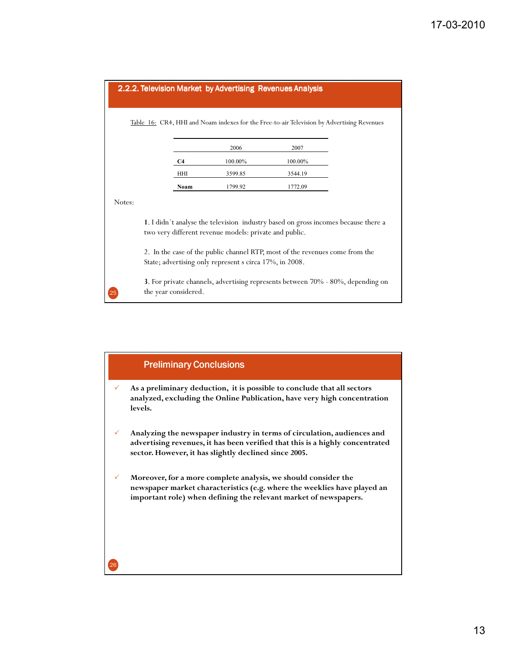| 2.2.2. Television Market by Advertising Revenues Analysis |                                                                                                                                              |         |         |  |  |
|-----------------------------------------------------------|----------------------------------------------------------------------------------------------------------------------------------------------|---------|---------|--|--|
|                                                           |                                                                                                                                              |         |         |  |  |
|                                                           | Table 16: CR4, HHI and Noam indexes for the Free-to-air Television by Advertising Revenues                                                   |         |         |  |  |
|                                                           |                                                                                                                                              |         |         |  |  |
|                                                           |                                                                                                                                              | 2006    | 2007    |  |  |
|                                                           | C4                                                                                                                                           | 100.00% | 100.00% |  |  |
|                                                           | <b>HHI</b>                                                                                                                                   | 3599.85 | 3544.19 |  |  |
|                                                           | Noam                                                                                                                                         | 1799.92 | 1772.09 |  |  |
| Notes:                                                    |                                                                                                                                              |         |         |  |  |
|                                                           | 1. I didn't analyse the television industry based on gross incomes because there a<br>two very different revenue models: private and public. |         |         |  |  |
|                                                           | 2. In the case of the public channel RTP, most of the revenues come from the<br>State; advertising only represent s circa 17%, in 2008.      |         |         |  |  |

**3**. For private channels, advertising represents between 70% - 80%, depending on the year considered.

25



#### 13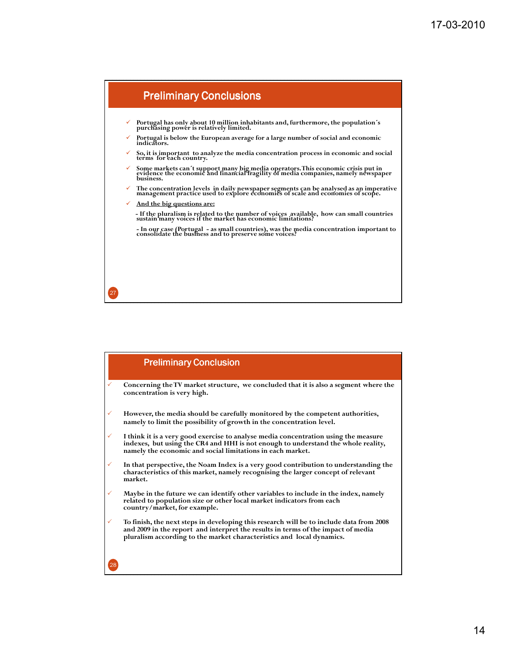